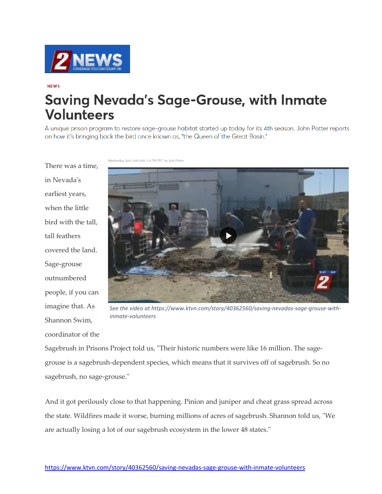

## **NFWS**

## **Saving Nevada's Sage-Grouse, with Inmate Volunteers**

A unique prison program to restore sage-grouse habitat started up today for its 4th season. John Potter reports on how it's bringing back the bird once known as, "the Queen of the Great Basin."

There was a time, in Nevada's earliest years, when the little bird with the tall, tall feathers covered the land. Sage-grouse outnumbered people, if you can imagine that. As Shannon Swim, coordinator of the Wednesday, April 24th 2019, 1:35 PM PDT by John Potter



*[See the video at https://www.ktvn.com/story/40362560/saving-nevadas-sage-grouse-with](https://www.ktvn.com/story/40362560/saving-nevadas-sage-grouse-with-inmate-volunteers)inmate-volunteers*

Sagebrush in Prisons Project told us, "Their historic numbers were like 16 million. The sagegrouse is a sagebrush-dependent species, which means that it survives off of sagebrush. So no sagebrush, no sage-grouse."

And it got perilously close to that happening. Pinion and juniper and cheat grass spread across the state. Wildfires made it worse, burning millions of acres of sagebrush. Shannon told us, "We are actually losing a lot of our sagebrush ecosystem in the lower 48 states."